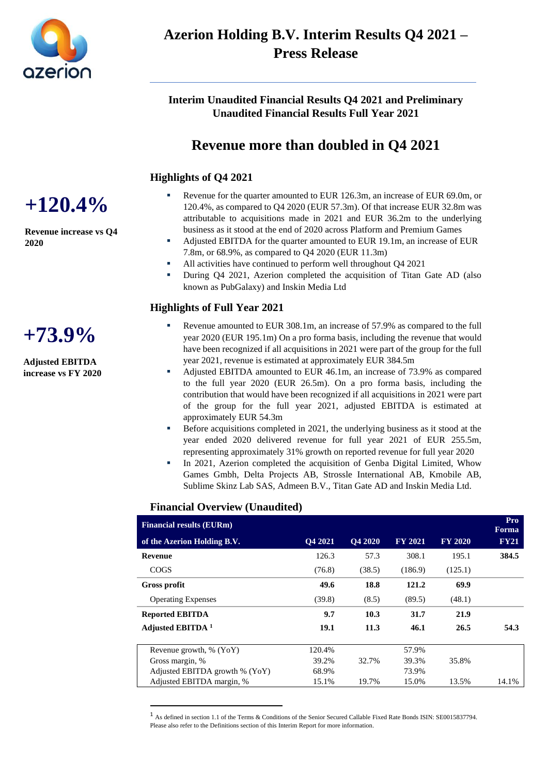

# **Azerion Holding B.V. Interim Results Q4 2021 – Press Release**

**Interim Unaudited Financial Results Q4 2021 and Preliminary Unaudited Financial Results Full Year 2021**

# **Revenue more than doubled in Q4 2021**

### **Highlights of Q4 2021**

- Revenue for the quarter amounted to EUR 126.3m, an increase of EUR 69.0m, or 120.4%, as compared to Q4 2020 (EUR 57.3m). Of that increase EUR 32.8m was attributable to acquisitions made in 2021 and EUR 36.2m to the underlying business as it stood at the end of 2020 across Platform and Premium Games
- Adjusted EBITDA for the quarter amounted to EUR 19.1m, an increase of EUR 7.8m, or 68.9%, as compared to Q4 2020 (EUR 11.3m)
- All activities have continued to perform well throughout Q4 2021
- During Q4 2021, Azerion completed the acquisition of Titan Gate AD (also known as PubGalaxy) and Inskin Media Ltd

### **Highlights of Full Year 2021**

- Revenue amounted to EUR 308.1m, an increase of 57.9% as compared to the full year 2020 (EUR 195.1m) On a pro forma basis, including the revenue that would have been recognized if all acquisitions in 2021 were part of the group for the full year 2021, revenue is estimated at approximately EUR 384.5m
- Adjusted EBITDA amounted to EUR 46.1m, an increase of 73.9% as compared to the full year 2020 (EUR 26.5m). On a pro forma basis, including the contribution that would have been recognized if all acquisitions in 2021 were part of the group for the full year 2021, adjusted EBITDA is estimated at approximately EUR 54.3m
- Before acquisitions completed in 2021, the underlying business as it stood at the year ended 2020 delivered revenue for full year 2021 of EUR 255.5m, representing approximately 31% growth on reported revenue for full year 2020
- In 2021, Azerion completed the acquisition of Genba Digital Limited, Whow Games Gmbh, Delta Projects AB, Strossle International AB, Kmobile AB, Sublime Skinz Lab SAS, Admeen B.V., Titan Gate AD and Inskin Media Ltd.

#### **Financial Overview (Unaudited)**

| <b>Financial results (EURm)</b> |         |                |                |                | Pro<br><b>Forma</b> |
|---------------------------------|---------|----------------|----------------|----------------|---------------------|
| of the Azerion Holding B.V.     | O4 2021 | <b>O4 2020</b> | <b>FY 2021</b> | <b>FY 2020</b> | <b>FY21</b>         |
| <b>Revenue</b>                  | 126.3   | 57.3           | 308.1          | 195.1          | 384.5               |
| <b>COGS</b>                     | (76.8)  | (38.5)         | (186.9)        | (125.1)        |                     |
| <b>Gross profit</b>             | 49.6    | 18.8           | 121.2          | 69.9           |                     |
| <b>Operating Expenses</b>       | (39.8)  | (8.5)          | (89.5)         | (48.1)         |                     |
| <b>Reported EBITDA</b>          | 9.7     | 10.3           | 31.7           | 21.9           |                     |
| Adjusted EBITDA <sup>1</sup>    | 19.1    | 11.3           | 46.1           | 26.5           | 54.3                |
| Revenue growth, $% (YoY)$       | 120.4%  |                | 57.9%          |                |                     |
| Gross margin, %                 | 39.2%   | 32.7%          | 39.3%          | 35.8%          |                     |
| Adjusted EBITDA growth % (YoY)  | 68.9%   |                | 73.9%          |                |                     |
| Adjusted EBITDA margin, %       | 15.1%   | 19.7%          | 15.0%          | 13.5%          | 14.1%               |

<sup>1</sup> As defined in section 1.1 of the Terms & Conditions of the Senior Secured Callable Fixed Rate Bonds ISIN: SE0015837794. Please also refer to the Definitions section of this Interim Report for more information.

**+120.4%**

**Revenue increase vs Q4 2020**



**Adjusted EBITDA increase vs FY 2020**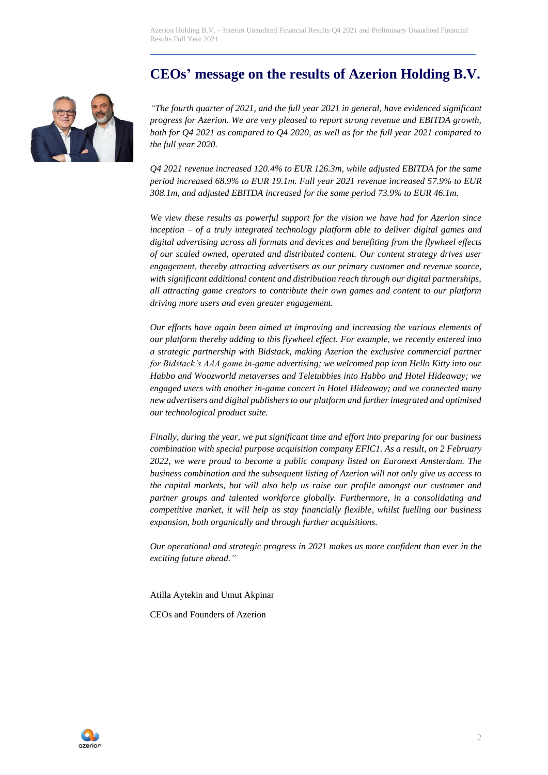Azerion Holding B.V. – Interim Unaudited Financial Results Q4 2021 and Preliminary Unaudited Financial Results Full Year 2021

# **CEOs' message on the results of Azerion Holding B.V.**



*"The fourth quarter of 2021, and the full year 2021 in general, have evidenced significant progress for Azerion. We are very pleased to report strong revenue and EBITDA growth, both for Q4 2021 as compared to Q4 2020, as well as for the full year 2021 compared to the full year 2020.*

*Q4 2021 revenue increased 120.4% to EUR 126.3m, while adjusted EBITDA for the same period increased 68.9% to EUR 19.1m. Full year 2021 revenue increased 57.9% to EUR 308.1m, and adjusted EBITDA increased for the same period 73.9% to EUR 46.1m.* 

*We view these results as powerful support for the vision we have had for Azerion since inception – of a truly integrated technology platform able to deliver digital games and digital advertising across all formats and devices and benefiting from the flywheel effects of our scaled owned, operated and distributed content. Our content strategy drives user engagement, thereby attracting advertisers as our primary customer and revenue source, with significant additional content and distribution reach through our digital partnerships, all attracting game creators to contribute their own games and content to our platform driving more users and even greater engagement.*

*Our efforts have again been aimed at improving and increasing the various elements of our platform thereby adding to this flywheel effect. For example, we recently entered into a strategic partnership with Bidstack, making Azerion the exclusive commercial partner for Bidstack's AAA game in-game advertising; we welcomed pop icon Hello Kitty into our Habbo and Woozworld metaverses and Teletubbies into Habbo and Hotel Hideaway; we engaged users with another in-game concert in Hotel Hideaway; and we connected many new advertisers and digital publishers to our platform and further integrated and optimised our technological product suite.*

*Finally, during the year, we put significant time and effort into preparing for our business combination with special purpose acquisition company EFIC1. As a result, on 2 February 2022, we were proud to become a public company listed on Euronext Amsterdam. The business combination and the subsequent listing of Azerion will not only give us access to the capital markets, but will also help us raise our profile amongst our customer and partner groups and talented workforce globally. Furthermore, in a consolidating and competitive market, it will help us stay financially flexible, whilst fuelling our business expansion, both organically and through further acquisitions.*

*Our operational and strategic progress in 2021 makes us more confident than ever in the exciting future ahead."*

Atilla Aytekin and Umut Akpinar

CEOs and Founders of Azerion

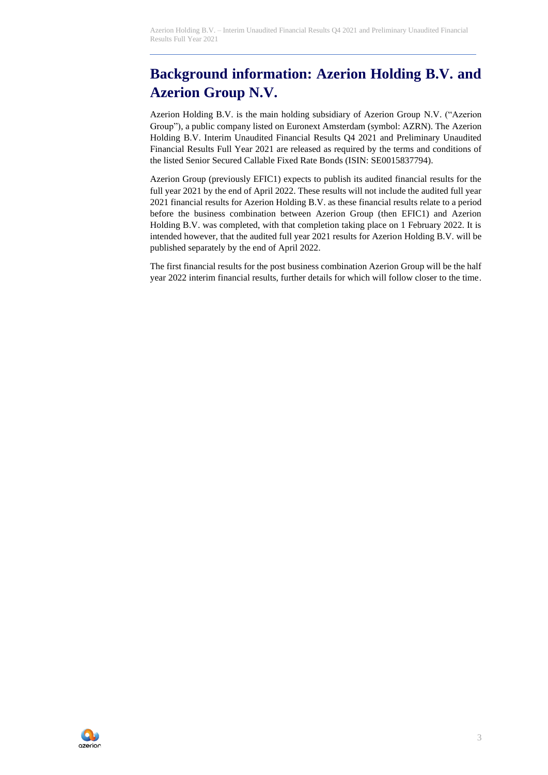# **Background information: Azerion Holding B.V. and Azerion Group N.V.**

Azerion Holding B.V. is the main holding subsidiary of Azerion Group N.V. ("Azerion Group"), a public company listed on Euronext Amsterdam (symbol: AZRN). The Azerion Holding B.V. Interim Unaudited Financial Results Q4 2021 and Preliminary Unaudited Financial Results Full Year 2021 are released as required by the terms and conditions of the listed Senior Secured Callable Fixed Rate Bonds (ISIN: SE0015837794).

Azerion Group (previously EFIC1) expects to publish its audited financial results for the full year 2021 by the end of April 2022. These results will not include the audited full year 2021 financial results for Azerion Holding B.V. as these financial results relate to a period before the business combination between Azerion Group (then EFIC1) and Azerion Holding B.V. was completed, with that completion taking place on 1 February 2022. It is intended however, that the audited full year 2021 results for Azerion Holding B.V. will be published separately by the end of April 2022.

The first financial results for the post business combination Azerion Group will be the half year 2022 interim financial results, further details for which will follow closer to the time.

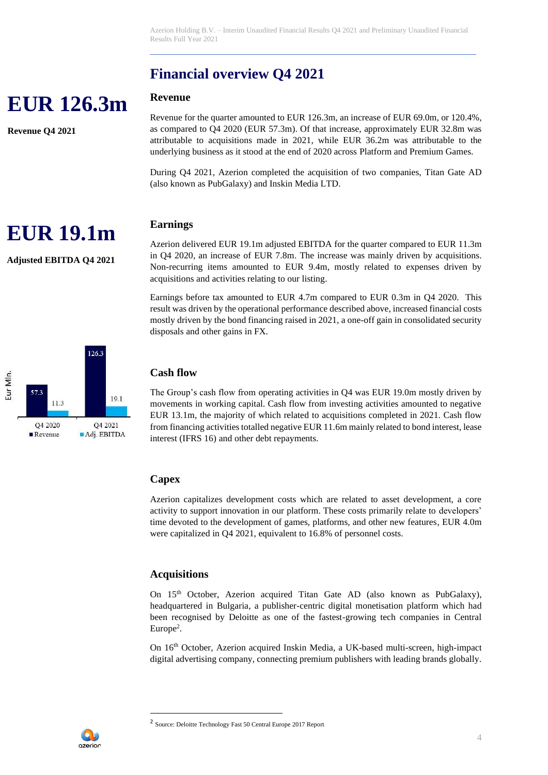# **Financial overview Q4 2021**

### **Revenue**

Revenue for the quarter amounted to EUR 126.3m, an increase of EUR 69.0m, or 120.4%, as compared to Q4 2020 (EUR 57.3m). Of that increase, approximately EUR 32.8m was attributable to acquisitions made in 2021, while EUR 36.2m was attributable to the underlying business as it stood at the end of 2020 across Platform and Premium Games.

During Q4 2021, Azerion completed the acquisition of two companies, Titan Gate AD (also known as PubGalaxy) and Inskin Media LTD.

## **Earnings**

Azerion delivered EUR 19.1m adjusted EBITDA for the quarter compared to EUR 11.3m in Q4 2020, an increase of EUR 7.8m. The increase was mainly driven by acquisitions. Non-recurring items amounted to EUR 9.4m, mostly related to expenses driven by acquisitions and activities relating to our listing.

Earnings before tax amounted to EUR 4.7m compared to EUR 0.3m in Q4 2020. This result was driven by the operational performance described above, increased financial costs mostly driven by the bond financing raised in 2021, a one-off gain in consolidated security disposals and other gains in FX.

## **Cash flow**

The Group's cash flow from operating activities in Q4 was EUR 19.0m mostly driven by movements in working capital. Cash flow from investing activities amounted to negative EUR 13.1m, the majority of which related to acquisitions completed in 2021. Cash flow from financing activities totalled negative EUR 11.6m mainly related to bond interest, lease interest (IFRS 16) and other debt repayments.

# **Capex**

Azerion capitalizes development costs which are related to asset development, a core activity to support innovation in our platform. These costs primarily relate to developers' time devoted to the development of games, platforms, and other new features, EUR 4.0m were capitalized in Q4 2021, equivalent to 16.8% of personnel costs.

## **Acquisitions**

On 15th October, Azerion acquired Titan Gate AD (also known as PubGalaxy), headquartered in Bulgaria, a publisher-centric digital monetisation platform which had been recognised by Deloitte as one of the fastest-growing tech companies in Central Europe<sup>2</sup>.

On 16th October, Azerion acquired Inskin Media, a UK-based multi-screen, high-impact digital advertising company, connecting premium publishers with leading brands globally.







**EUR 126.3m**

**Revenue Q4 2021**



<sup>2</sup> Source: Deloitte Technology Fast 50 Central Europe 2017 Report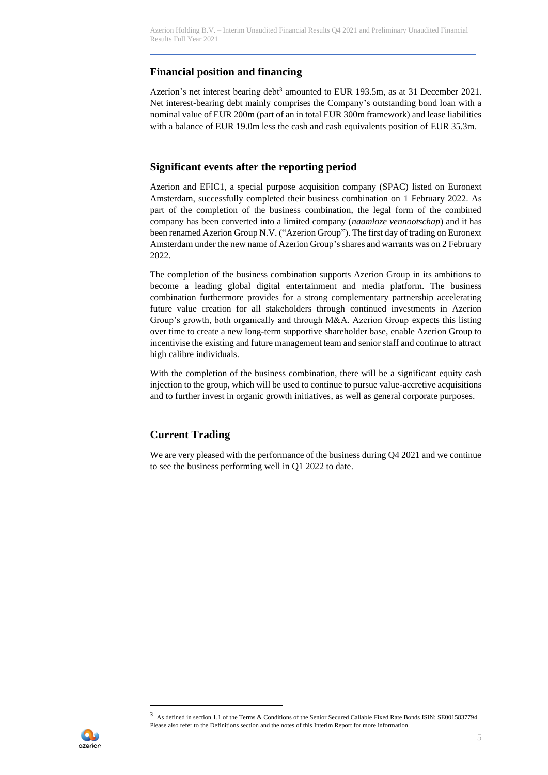# **Financial position and financing**

Azerion's net interest bearing debt<sup>3</sup> amounted to EUR 193.5m, as at 31 December 2021. Net interest-bearing debt mainly comprises the Company's outstanding bond loan with a nominal value of EUR 200m (part of an in total EUR 300m framework) and lease liabilities with a balance of EUR 19.0m less the cash and cash equivalents position of EUR 35.3m.

### **Significant events after the reporting period**

Azerion and EFIC1, a special purpose acquisition company (SPAC) listed on Euronext Amsterdam, successfully completed their business combination on 1 February 2022. As part of the completion of the business combination, the legal form of the combined company has been converted into a limited company (*naamloze vennootschap*) and it has been renamed Azerion Group N.V. ("Azerion Group"). The first day of trading on Euronext Amsterdam under the new name of Azerion Group's shares and warrants was on 2 February 2022.

The completion of the business combination supports Azerion Group in its ambitions to become a leading global digital entertainment and media platform. The business combination furthermore provides for a strong complementary partnership accelerating future value creation for all stakeholders through continued investments in Azerion Group's growth, both organically and through M&A. Azerion Group expects this listing over time to create a new long-term supportive shareholder base, enable Azerion Group to incentivise the existing and future management team and senior staff and continue to attract high calibre individuals.

With the completion of the business combination, there will be a significant equity cash injection to the group, which will be used to continue to pursue value-accretive acquisitions and to further invest in organic growth initiatives, as well as general corporate purposes.

# **Current Trading**

We are very pleased with the performance of the business during  $Q<sub>4</sub> 2021$  and we continue to see the business performing well in Q1 2022 to date.



<sup>3</sup> As defined in section 1.1 of the Terms & Conditions of the Senior Secured Callable Fixed Rate Bonds ISIN: SE0015837794. Please also refer to the Definitions section and the notes of this Interim Report for more information.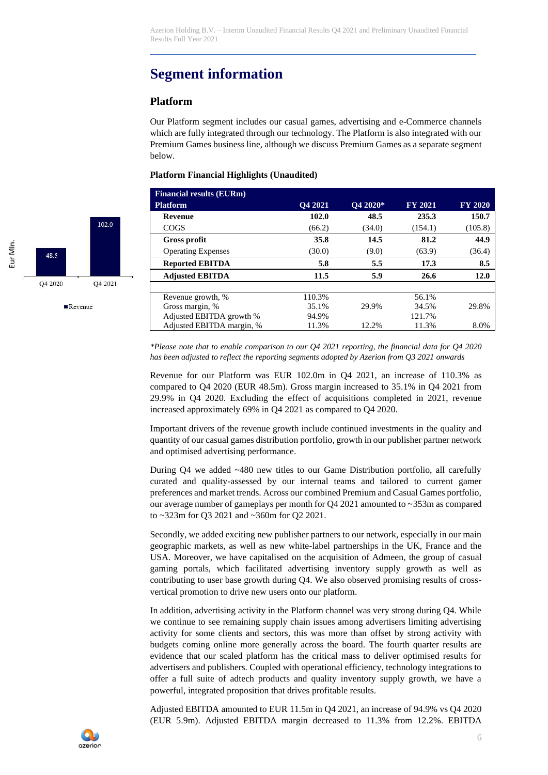# **Segment information**

### **Platform**

Our Platform segment includes our casual games, advertising and e-Commerce channels which are fully integrated through our technology. The Platform is also integrated with our Premium Games business line, although we discuss Premium Games as a separate segment below.

#### **Platform Financial Highlights (Unaudited)**

| <b>Financial results (EURm)</b> |                |             |                |                |
|---------------------------------|----------------|-------------|----------------|----------------|
| <b>Platform</b>                 | <b>O4 2021</b> | $Q4\ 2020*$ | <b>FY 2021</b> | <b>FY 2020</b> |
| <b>Revenue</b>                  | 102.0          | 48.5        | 235.3          | 150.7          |
| <b>COGS</b>                     | (66.2)         | (34.0)      | (154.1)        | (105.8)        |
| Gross profit                    | 35.8           | 14.5        | 81.2           | 44.9           |
| <b>Operating Expenses</b>       | (30.0)         | (9.0)       | (63.9)         | (36.4)         |
| <b>Reported EBITDA</b>          | 5.8            | 5.5         | 17.3           | 8.5            |
| <b>Adjusted EBITDA</b>          | 11.5           | 5.9         | 26.6           | 12.0           |
|                                 |                |             |                |                |
| Revenue growth, %               | 110.3%         |             | 56.1%          |                |
| Gross margin, %                 | 35.1%          | 29.9%       | 34.5%          | 29.8%          |
| Adjusted EBITDA growth %        | 94.9%          |             | 121.7%         |                |
| Adjusted EBITDA margin, %       | 11.3%          | 12.2%       | 11.3%          | 8.0%           |

*\*Please note that to enable comparison to our Q4 2021 reporting, the financial data for Q4 2020 has been adjusted to reflect the reporting segments adopted by Azerion from Q3 2021 onwards*

Revenue for our Platform was EUR 102.0m in Q4 2021, an increase of 110.3% as compared to Q4 2020 (EUR 48.5m). Gross margin increased to 35.1% in Q4 2021 from 29.9% in Q4 2020. Excluding the effect of acquisitions completed in 2021, revenue increased approximately 69% in Q4 2021 as compared to Q4 2020.

Important drivers of the revenue growth include continued investments in the quality and quantity of our casual games distribution portfolio, growth in our publisher partner network and optimised advertising performance.

During Q4 we added ~480 new titles to our Game Distribution portfolio, all carefully curated and quality-assessed by our internal teams and tailored to current gamer preferences and market trends. Across our combined Premium and Casual Games portfolio, our average number of gameplays per month for Q4 2021 amounted to ~353m as compared to ~323m for Q3 2021 and ~360m for Q2 2021.

Secondly, we added exciting new publisher partners to our network, especially in our main geographic markets, as well as new white-label partnerships in the UK, France and the USA. Moreover, we have capitalised on the acquisition of Admeen, the group of casual gaming portals, which facilitated advertising inventory supply growth as well as contributing to user base growth during Q4. We also observed promising results of crossvertical promotion to drive new users onto our platform.

In addition, advertising activity in the Platform channel was very strong during Q4. While we continue to see remaining supply chain issues among advertisers limiting advertising activity for some clients and sectors, this was more than offset by strong activity with budgets coming online more generally across the board. The fourth quarter results are evidence that our scaled platform has the critical mass to deliver optimised results for advertisers and publishers. Coupled with operational efficiency, technology integrations to offer a full suite of adtech products and quality inventory supply growth, we have a powerful, integrated proposition that drives profitable results.

Adjusted EBITDA amounted to EUR 11.5m in Q4 2021, an increase of 94.9% vs Q4 2020 (EUR 5.9m). Adjusted EBITDA margin decreased to 11.3% from 12.2%. EBITDA



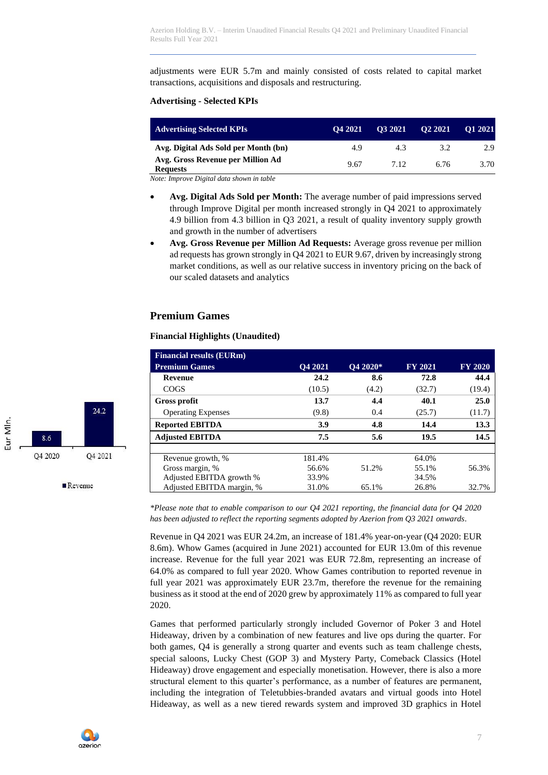adjustments were EUR 5.7m and mainly consisted of costs related to capital market transactions, acquisitions and disposals and restructuring.

#### **Advertising - Selected KPIs**

| <b>Advertising Selected KPIs</b>                     | O <sub>4</sub> 2021 | O3 2021 | O <sub>2</sub> 2021 | O1 2021 |
|------------------------------------------------------|---------------------|---------|---------------------|---------|
| Avg. Digital Ads Sold per Month (bn)                 | 4.9                 | 4.3     | 3.2                 | 2.9     |
| Avg. Gross Revenue per Million Ad<br><b>Requests</b> | 9.67                | 712     | 6.76                | 3.70    |

*Note: Improve Digital data shown in table*

- **Avg. Digital Ads Sold per Month:** The average number of paid impressions served through Improve Digital per month increased strongly in Q4 2021 to approximately 4.9 billion from 4.3 billion in Q3 2021, a result of quality inventory supply growth and growth in the number of advertisers
- **Avg. Gross Revenue per Million Ad Requests:** Average gross revenue per million ad requests has grown strongly in Q4 2021 to EUR 9.67, driven by increasingly strong market conditions, as well as our relative success in inventory pricing on the back of our scaled datasets and analytics

#### **Premium Games**

#### **Financial Highlights (Unaudited)**

| <b>Financial results (EURm)</b> |                |          |                |                |
|---------------------------------|----------------|----------|----------------|----------------|
| <b>Premium Games</b>            | <b>O4 2021</b> | O4 2020* | <b>FY 2021</b> | <b>FY 2020</b> |
| <b>Revenue</b>                  | 24.2           | 8.6      | 72.8           | 44.4           |
| <b>COGS</b>                     | (10.5)         | (4.2)    | (32.7)         | (19.4)         |
| Gross profit                    | 13.7           | 4.4      | 40.1           | 25.0           |
| <b>Operating Expenses</b>       | (9.8)          | 0.4      | (25.7)         | (11.7)         |
| <b>Reported EBITDA</b>          | 3.9            | 4.8      | 14.4           | 13.3           |
| <b>Adjusted EBITDA</b>          | 7.5            | 5.6      | 19.5           | 14.5           |
|                                 |                |          |                |                |
| Revenue growth, %               | 181.4%         |          | 64.0%          |                |
| Gross margin, %                 | 56.6%          | 51.2%    | 55.1%          | 56.3%          |
| Adjusted EBITDA growth %        | 33.9%          |          | 34.5%          |                |
| Adjusted EBITDA margin, %       | 31.0%          | 65.1%    | 26.8%          | 32.7%          |

*\*Please note that to enable comparison to our Q4 2021 reporting, the financial data for Q4 2020 has been adjusted to reflect the reporting segments adopted by Azerion from Q3 2021 onwards.*

Revenue in Q4 2021 was EUR 24.2m, an increase of 181.4% year-on-year (Q4 2020: EUR 8.6m). Whow Games (acquired in June 2021) accounted for EUR 13.0m of this revenue increase. Revenue for the full year 2021 was EUR 72.8m, representing an increase of 64.0% as compared to full year 2020. Whow Games contribution to reported revenue in full year 2021 was approximately EUR 23.7m, therefore the revenue for the remaining business as it stood at the end of 2020 grew by approximately 11% as compared to full year 2020.

Games that performed particularly strongly included Governor of Poker 3 and Hotel Hideaway, driven by a combination of new features and live ops during the quarter. For both games, Q4 is generally a strong quarter and events such as team challenge chests, special saloons, Lucky Chest (GOP 3) and Mystery Party, Comeback Classics (Hotel Hideaway) drove engagement and especially monetisation. However, there is also a more structural element to this quarter's performance, as a number of features are permanent, including the integration of Teletubbies-branded avatars and virtual goods into Hotel Hideaway, as well as a new tiered rewards system and improved 3D graphics in Hotel

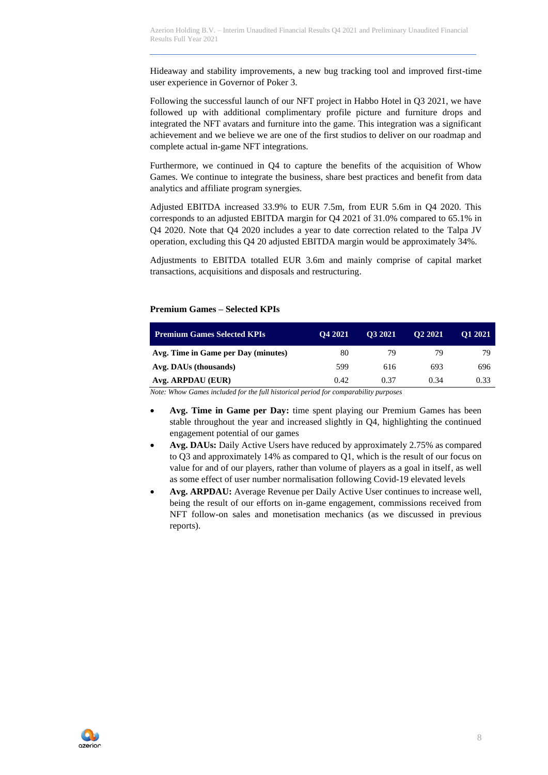Hideaway and stability improvements, a new bug tracking tool and improved first-time user experience in Governor of Poker 3.

Following the successful launch of our NFT project in Habbo Hotel in Q3 2021, we have followed up with additional complimentary profile picture and furniture drops and integrated the NFT avatars and furniture into the game. This integration was a significant achievement and we believe we are one of the first studios to deliver on our roadmap and complete actual in-game NFT integrations.

Furthermore, we continued in Q4 to capture the benefits of the acquisition of Whow Games. We continue to integrate the business, share best practices and benefit from data analytics and affiliate program synergies.

Adjusted EBITDA increased 33.9% to EUR 7.5m, from EUR 5.6m in Q4 2020. This corresponds to an adjusted EBITDA margin for Q4 2021 of 31.0% compared to 65.1% in Q4 2020. Note that Q4 2020 includes a year to date correction related to the Talpa JV operation, excluding this Q4 20 adjusted EBITDA margin would be approximately 34%.

Adjustments to EBITDA totalled EUR 3.6m and mainly comprise of capital market transactions, acquisitions and disposals and restructuring.

#### **Premium Games – Selected KPIs**

| <b>Premium Games Selected KPIs</b>  | O <sub>4</sub> 2021 | O3 2021 | O <sub>2</sub> 2021 | O1 2021 |
|-------------------------------------|---------------------|---------|---------------------|---------|
| Avg. Time in Game per Day (minutes) | 80                  | 79      | 79                  | 79      |
| Avg. DAUs (thousands)               | 599                 | 616     | 693                 | 696     |
| Avg. ARPDAU (EUR)                   | 0.42                | 0.37    | 0.34                | 0.33    |

*Note: Whow Games included for the full historical period for comparability purposes*

- **Avg. Time in Game per Day:** time spent playing our Premium Games has been stable throughout the year and increased slightly in Q4, highlighting the continued engagement potential of our games
- **Avg. DAUs:** Daily Active Users have reduced by approximately 2.75% as compared to Q3 and approximately 14% as compared to Q1, which is the result of our focus on value for and of our players, rather than volume of players as a goal in itself, as well as some effect of user number normalisation following Covid-19 elevated levels
- **Avg. ARPDAU:** Average Revenue per Daily Active User continues to increase well, being the result of our efforts on in-game engagement, commissions received from NFT follow-on sales and monetisation mechanics (as we discussed in previous reports).

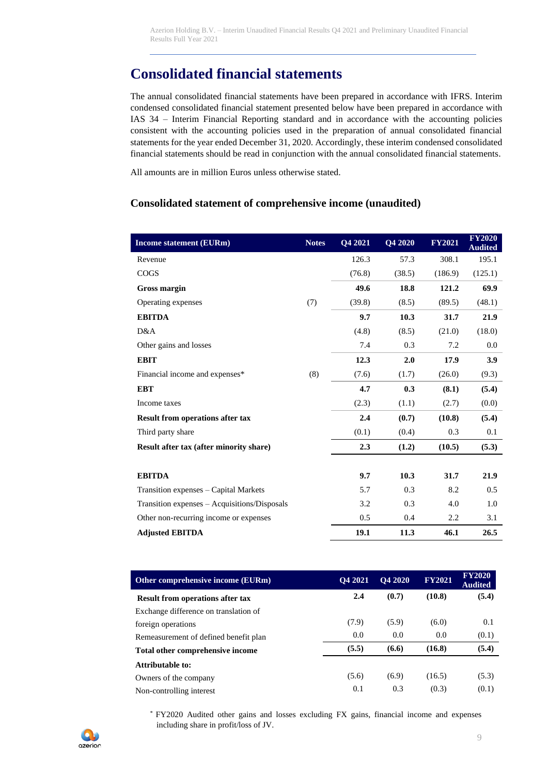# **Consolidated financial statements**

The annual consolidated financial statements have been prepared in accordance with IFRS. Interim condensed consolidated financial statement presented below have been prepared in accordance with IAS 34 – Interim Financial Reporting standard and in accordance with the accounting policies consistent with the accounting policies used in the preparation of annual consolidated financial statements for the year ended December 31, 2020. Accordingly, these interim condensed consolidated financial statements should be read in conjunction with the annual consolidated financial statements.

All amounts are in million Euros unless otherwise stated.

#### **Consolidated statement of comprehensive income (unaudited)**

| <b>Income statement (EURm)</b>               | <b>Notes</b> | Q4 2021 | Q4 2020 | <b>FY2021</b> | <b>FY2020</b><br><b>Audited</b> |
|----------------------------------------------|--------------|---------|---------|---------------|---------------------------------|
| Revenue                                      |              | 126.3   | 57.3    | 308.1         | 195.1                           |
| <b>COGS</b>                                  |              | (76.8)  | (38.5)  | (186.9)       | (125.1)                         |
| <b>Gross margin</b>                          |              | 49.6    | 18.8    | 121.2         | 69.9                            |
| Operating expenses                           | (7)          | (39.8)  | (8.5)   | (89.5)        | (48.1)                          |
| <b>EBITDA</b>                                |              | 9.7     | 10.3    | 31.7          | 21.9                            |
| D&A                                          |              | (4.8)   | (8.5)   | (21.0)        | (18.0)                          |
| Other gains and losses                       |              | 7.4     | 0.3     | 7.2           | 0.0                             |
| <b>EBIT</b>                                  |              | 12.3    | 2.0     | 17.9          | 3.9                             |
| Financial income and expenses*               | (8)          | (7.6)   | (1.7)   | (26.0)        | (9.3)                           |
| <b>EBT</b>                                   |              | 4.7     | 0.3     | (8.1)         | (5.4)                           |
| Income taxes                                 |              | (2.3)   | (1.1)   | (2.7)         | (0.0)                           |
| <b>Result from operations after tax</b>      |              | 2.4     | (0.7)   | (10.8)        | (5.4)                           |
| Third party share                            |              | (0.1)   | (0.4)   | 0.3           | 0.1                             |
| Result after tax (after minority share)      |              | 2.3     | (1.2)   | (10.5)        | (5.3)                           |
|                                              |              |         |         |               |                                 |
| <b>EBITDA</b>                                |              | 9.7     | 10.3    | 31.7          | 21.9                            |
| Transition expenses – Capital Markets        |              | 5.7     | 0.3     | 8.2           | 0.5                             |
| Transition expenses - Acquisitions/Disposals |              | 3.2     | 0.3     | 4.0           | 1.0                             |
| Other non-recurring income or expenses       |              | 0.5     | 0.4     | 2.2           | 3.1                             |
| <b>Adjusted EBITDA</b>                       |              | 19.1    | 11.3    | 46.1          | 26.5                            |

| Other comprehensive income (EURm)       | <b>O4 2021</b> | <b>O4 2020</b> | <b>FY2021</b> | <b>FY2020</b><br><b>Audited</b> |
|-----------------------------------------|----------------|----------------|---------------|---------------------------------|
| <b>Result from operations after tax</b> | 2.4            | (0.7)          | (10.8)        | (5.4)                           |
| Exchange difference on translation of   |                |                |               |                                 |
| foreign operations                      | (7.9)          | (5.9)          | (6.0)         | 0.1                             |
| Remeasurement of defined benefit plan   | 0.0            | 0.0            | 0.0           | (0.1)                           |
| Total other comprehensive income        | (5.5)          | (6.6)          | (16.8)        | (5.4)                           |
| Attributable to:                        |                |                |               |                                 |
| Owners of the company                   | (5.6)          | (6.9)          | (16.5)        | (5.3)                           |
| Non-controlling interest                | 0.1            | 0.3            | (0.3)         | (0.1)                           |

\* FY2020 Audited other gains and losses excluding FX gains, financial income and expenses including share in profit/loss of JV.

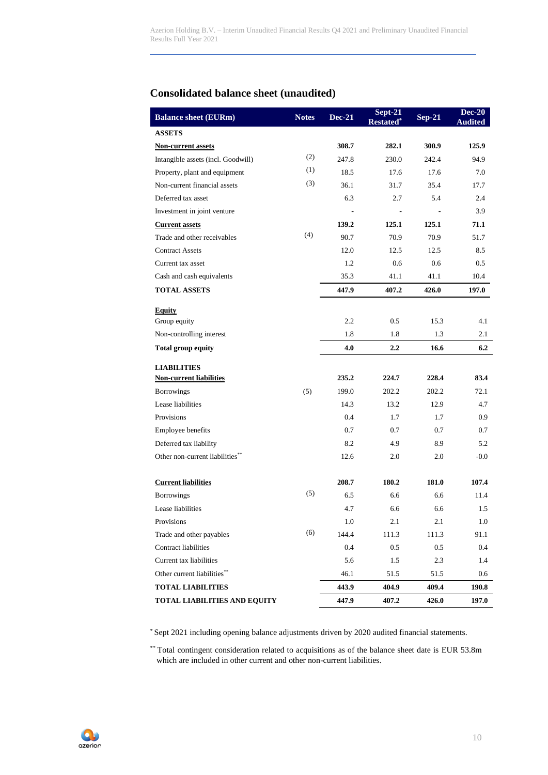# **Consolidated balance sheet (unaudited)**

| <b>Balance sheet (EURm)</b>        | <b>Notes</b> | <b>Dec-21</b> | Sept-21<br><b>Restated</b> | $Sep-21$ | <b>Dec-20</b><br><b>Audited</b> |
|------------------------------------|--------------|---------------|----------------------------|----------|---------------------------------|
| <b>ASSETS</b>                      |              |               |                            |          |                                 |
| <b>Non-current assets</b>          |              | 308.7         | 282.1                      | 300.9    | 125.9                           |
| Intangible assets (incl. Goodwill) | (2)          | 247.8         | 230.0                      | 242.4    | 94.9                            |
| Property, plant and equipment      | (1)          | 18.5          | 17.6                       | 17.6     | 7.0                             |
| Non-current financial assets       | (3)          | 36.1          | 31.7                       | 35.4     | 17.7                            |
| Deferred tax asset                 |              | 6.3           | 2.7                        | 5.4      | 2.4                             |
| Investment in joint venture        |              |               |                            |          | 3.9                             |
| <b>Current assets</b>              |              | 139.2         | 125.1                      | 125.1    | 71.1                            |
| Trade and other receivables        | (4)          | 90.7          | 70.9                       | 70.9     | 51.7                            |
| <b>Contract Assets</b>             |              | 12.0          | 12.5                       | 12.5     | 8.5                             |
| Current tax asset                  |              | 1.2           | 0.6                        | 0.6      | 0.5                             |
| Cash and cash equivalents          |              | 35.3          | 41.1                       | 41.1     | 10.4                            |
| <b>TOTAL ASSETS</b>                |              | 447.9         | 407.2                      | 426.0    | 197.0                           |
| <b>Equity</b>                      |              |               |                            |          |                                 |
| Group equity                       |              | 2.2           | 0.5                        | 15.3     | 4.1                             |
| Non-controlling interest           |              | 1.8           | 1.8                        | 1.3      | 2.1                             |
| <b>Total group equity</b>          |              | 4.0           | $2.2\phantom{0}$           | 16.6     | 6.2                             |
| <b>LIABILITIES</b>                 |              |               |                            |          |                                 |
| <b>Non-current liabilities</b>     |              | 235.2         | 224.7                      | 228.4    | 83.4                            |
| <b>Borrowings</b>                  | (5)          | 199.0         | 202.2                      | 202.2    | 72.1                            |
| Lease liabilities                  |              | 14.3          | 13.2                       | 12.9     | 4.7                             |
| Provisions                         |              | 0.4           | 1.7                        | 1.7      | 0.9                             |
| Employee benefits                  |              | 0.7           | 0.7                        | 0.7      | 0.7                             |
| Deferred tax liability             |              | 8.2           | 4.9                        | 8.9      | 5.2                             |
| Other non-current liabilities**    |              | 12.6          | 2.0                        | 2.0      | $-0.0$                          |
| <b>Current liabilities</b>         |              | 208.7         | 180.2                      | 181.0    | 107.4                           |
| <b>Borrowings</b>                  | (5)          | 6.5           | 6.6                        | 6.6      | 11.4                            |
| Lease liabilities                  |              | 4.7           | 6.6                        | 6.6      | 1.5                             |
| Provisions                         |              | 1.0           | 2.1                        | 2.1      | 1.0                             |
| Trade and other payables           | (6)          | 144.4         | 111.3                      | 111.3    | 91.1                            |
| <b>Contract liabilities</b>        |              | 0.4           | 0.5                        | 0.5      | 0.4                             |
| Current tax liabilities            |              | 5.6           | 1.5                        | 2.3      | 1.4                             |
| Other current liabilities**        |              | 46.1          | 51.5                       | 51.5     | 0.6                             |
| <b>TOTAL LIABILITIES</b>           |              | 443.9         | 404.9                      | 409.4    | 190.8                           |
| TOTAL LIABILITIES AND EQUITY       |              | 447.9         | 407.2                      | 426.0    | 197.0                           |

\* Sept 2021 including opening balance adjustments driven by 2020 audited financial statements.

\*\* Total contingent consideration related to acquisitions as of the balance sheet date is EUR 53.8m which are included in other current and other non-current liabilities.

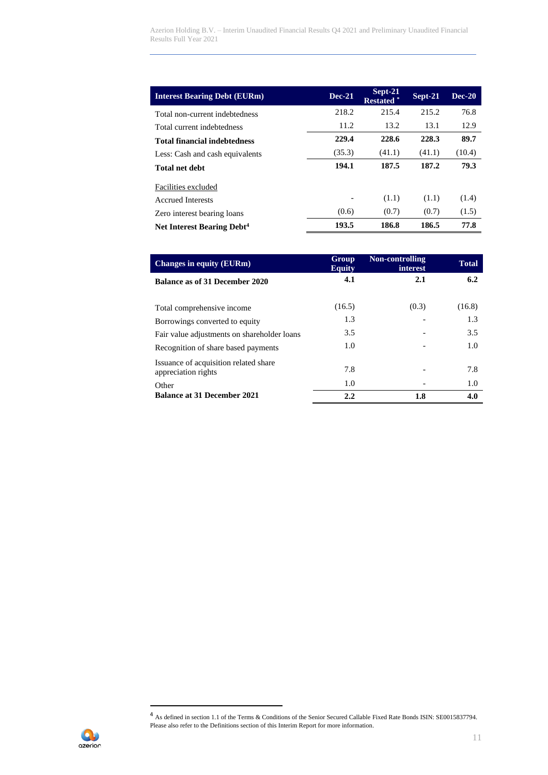Azerion Holding B.V. – Interim Unaudited Financial Results Q4 2021 and Preliminary Unaudited Financial Results Full Year 2021

| <b>Interest Bearing Debt (EURm)</b>    | $Dec-21$       | $Sept-21$<br>Restated <sup>*</sup> | Sept-21 | $Dec-20$ |
|----------------------------------------|----------------|------------------------------------|---------|----------|
| Total non-current indebtedness         | 218.2          | 215.4                              | 215.2   | 76.8     |
| Total current indebtedness             | 11.2           | 13.2                               | 13.1    | 12.9     |
| <b>Total financial indebtedness</b>    | 229.4          | 228.6                              | 228.3   | 89.7     |
| Less: Cash and cash equivalents        | (35.3)         | (41.1)                             | (41.1)  | (10.4)   |
| <b>Total net debt</b>                  | 194.1          | 187.5                              | 187.2   | 79.3     |
| Facilities excluded                    |                |                                    |         |          |
| <b>Accrued Interests</b>               | $\overline{a}$ | (1.1)                              | (1.1)   | (1.4)    |
| Zero interest bearing loans            | (0.6)          | (0.7)                              | (0.7)   | (1.5)    |
| Net Interest Bearing Debt <sup>4</sup> | 193.5          | 186.8                              | 186.5   | 77.8     |

| <b>Changes in equity (EURm)</b>                              | Group<br><b>Equity</b> | Non-controlling<br>interest | <b>Total</b> |
|--------------------------------------------------------------|------------------------|-----------------------------|--------------|
| Balance as of 31 December 2020                               | 4.1                    | 2.1                         | 6.2          |
| Total comprehensive income                                   | (16.5)                 | (0.3)                       | (16.8)       |
| Borrowings converted to equity                               | 1.3                    |                             | 1.3          |
| Fair value adjustments on shareholder loans                  | 3.5                    |                             | 3.5          |
| Recognition of share based payments                          | 1.0                    |                             | 1.0          |
| Issuance of acquisition related share<br>appreciation rights | 7.8                    |                             | 7.8          |
| Other                                                        | 1.0                    |                             | 1.0          |
| <b>Balance at 31 December 2021</b>                           | 2.2                    | 1.8                         | 4.0          |

Q azerion

<sup>&</sup>lt;sup>4</sup> As defined in section 1.1 of the Terms & Conditions of the Senior Secured Callable Fixed Rate Bonds ISIN: SE0015837794. Please also refer to the Definitions section of this Interim Report for more information.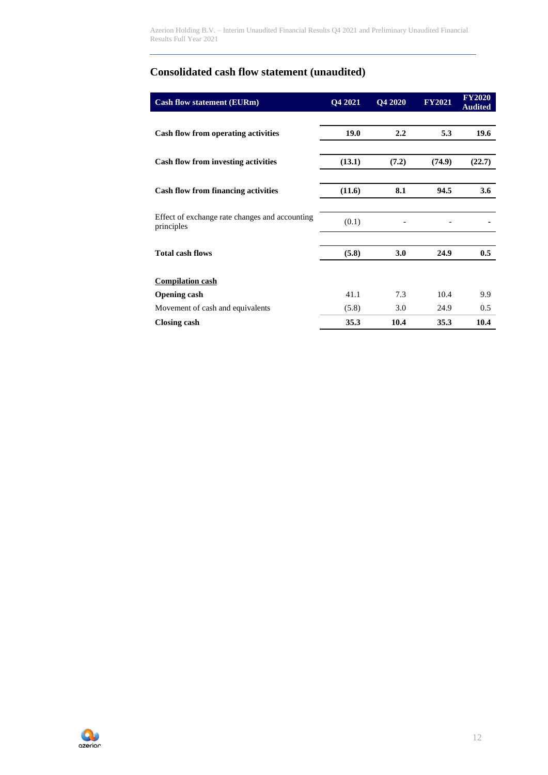Azerion Holding B.V. – Interim Unaudited Financial Results Q4 2021 and Preliminary Unaudited Financial Results Full Year 2021

# **Consolidated cash flow statement (unaudited)**

| <b>Cash flow statement (EURm)</b>                            | Q4 2021 | <b>O4 2020</b> | <b>FY2021</b> | <b>FY2020</b><br><b>Audited</b> |
|--------------------------------------------------------------|---------|----------------|---------------|---------------------------------|
|                                                              |         |                |               |                                 |
| Cash flow from operating activities                          | 19.0    | 2.2            | 5.3           | 19.6                            |
|                                                              |         |                |               |                                 |
| <b>Cash flow from investing activities</b>                   | (13.1)  | (7.2)          | (74.9)        | (22.7)                          |
|                                                              |         |                |               |                                 |
| <b>Cash flow from financing activities</b>                   | (11.6)  | 8.1            | 94.5          | 3.6                             |
|                                                              |         |                |               |                                 |
| Effect of exchange rate changes and accounting<br>principles | (0.1)   |                |               |                                 |
|                                                              |         |                |               |                                 |
| <b>Total cash flows</b>                                      | (5.8)   | 3.0            | 24.9          | 0.5                             |
|                                                              |         |                |               |                                 |
| <b>Compilation cash</b>                                      |         |                |               |                                 |
| <b>Opening cash</b>                                          | 41.1    | 7.3            | 10.4          | 9.9                             |
| Movement of cash and equivalents                             | (5.8)   | 3.0            | 24.9          | 0.5                             |
| <b>Closing cash</b>                                          | 35.3    | 10.4           | 35.3          | 10.4                            |

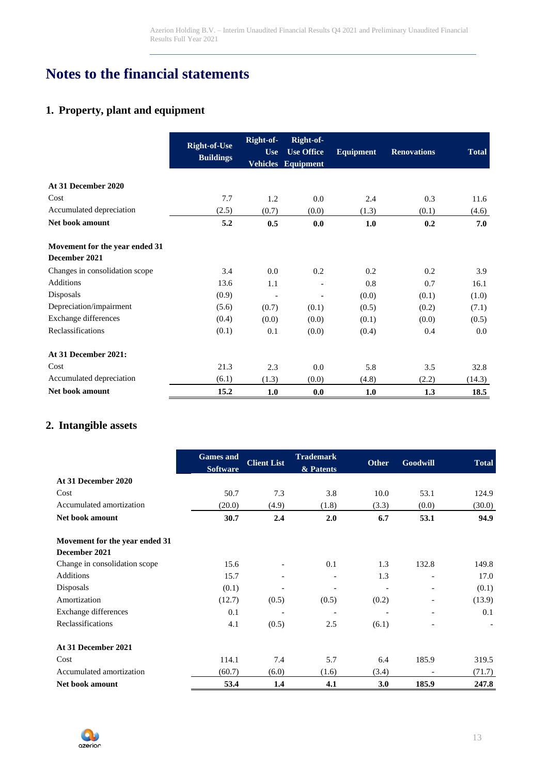# **Notes to the financial statements**

# **1. Property, plant and equipment**

|                                                 | <b>Right-of-Use</b><br><b>Buildings</b> | Right-of-<br><b>Use</b> | Right-of-<br><b>Use Office</b><br>Vehicles Equipment | <b>Equipment</b> | <b>Renovations</b> | <b>Total</b> |
|-------------------------------------------------|-----------------------------------------|-------------------------|------------------------------------------------------|------------------|--------------------|--------------|
| At 31 December 2020                             |                                         |                         |                                                      |                  |                    |              |
| Cost                                            | 7.7                                     | 1.2                     | 0.0                                                  | 2.4              | 0.3                | 11.6         |
| Accumulated depreciation                        | (2.5)                                   | (0.7)                   | (0.0)                                                | (1.3)            | (0.1)              | (4.6)        |
| Net book amount                                 | 5.2                                     | 0.5                     | 0.0                                                  | 1.0              | 0.2                | 7.0          |
| Movement for the year ended 31<br>December 2021 |                                         |                         |                                                      |                  |                    |              |
| Changes in consolidation scope                  | 3.4                                     | 0.0                     | 0.2                                                  | 0.2              | 0.2                | 3.9          |
| <b>Additions</b>                                | 13.6                                    | 1.1                     | $\overline{\phantom{a}}$                             | 0.8              | 0.7                | 16.1         |
| Disposals                                       | (0.9)                                   | ÷,                      | $\blacksquare$                                       | (0.0)            | (0.1)              | (1.0)        |
| Depreciation/impairment                         | (5.6)                                   | (0.7)                   | (0.1)                                                | (0.5)            | (0.2)              | (7.1)        |
| Exchange differences                            | (0.4)                                   | (0.0)                   | (0.0)                                                | (0.1)            | (0.0)              | (0.5)        |
| Reclassifications                               | (0.1)                                   | 0.1                     | (0.0)                                                | (0.4)            | 0.4                | 0.0          |
| At 31 December 2021:                            |                                         |                         |                                                      |                  |                    |              |
| Cost                                            | 21.3                                    | 2.3                     | 0.0                                                  | 5.8              | 3.5                | 32.8         |
| Accumulated depreciation                        | (6.1)                                   | (1.3)                   | (0.0)                                                | (4.8)            | (2.2)              | (14.3)       |
| Net book amount                                 | 15.2                                    | 1.0                     | 0.0                                                  | 1.0              | 1.3                | 18.5         |

# **2. Intangible assets**

|                                | <b>Games</b> and<br><b>Software</b> | <b>Client List</b> | <b>Trademark</b><br>& Patents | <b>Other</b> | Goodwill                     | <b>Total</b> |
|--------------------------------|-------------------------------------|--------------------|-------------------------------|--------------|------------------------------|--------------|
| At 31 December 2020            |                                     |                    |                               |              |                              |              |
| Cost                           | 50.7                                | 7.3                | 3.8                           | 10.0         | 53.1                         | 124.9        |
| Accumulated amortization       | (20.0)                              | (4.9)              | (1.8)                         | (3.3)        | (0.0)                        | (30.0)       |
| Net book amount                | 30.7                                | 2.4                | 2.0                           | 6.7          | 53.1                         | 94.9         |
| Movement for the year ended 31 |                                     |                    |                               |              |                              |              |
| December 2021                  |                                     |                    |                               |              |                              |              |
| Change in consolidation scope  | 15.6                                |                    | 0.1                           | 1.3          | 132.8                        | 149.8        |
| <b>Additions</b>               | 15.7                                |                    |                               | 1.3          | $\overline{\phantom{a}}$     | 17.0         |
| Disposals                      | (0.1)                               |                    | $\qquad \qquad \blacksquare$  |              | $\qquad \qquad \blacksquare$ | (0.1)        |
| Amortization                   | (12.7)                              | (0.5)              | (0.5)                         | (0.2)        |                              | (13.9)       |
| Exchange differences           | 0.1                                 |                    |                               |              |                              | 0.1          |
| Reclassifications              | 4.1                                 | (0.5)              | 2.5                           | (6.1)        |                              |              |
| At 31 December 2021            |                                     |                    |                               |              |                              |              |
| Cost                           | 114.1                               | 7.4                | 5.7                           | 6.4          | 185.9                        | 319.5        |
| Accumulated amortization       | (60.7)                              | (6.0)              | (1.6)                         | (3.4)        |                              | (71.7)       |
| Net book amount                | 53.4                                | 1.4                | 4.1                           | 3.0          | 185.9                        | 247.8        |

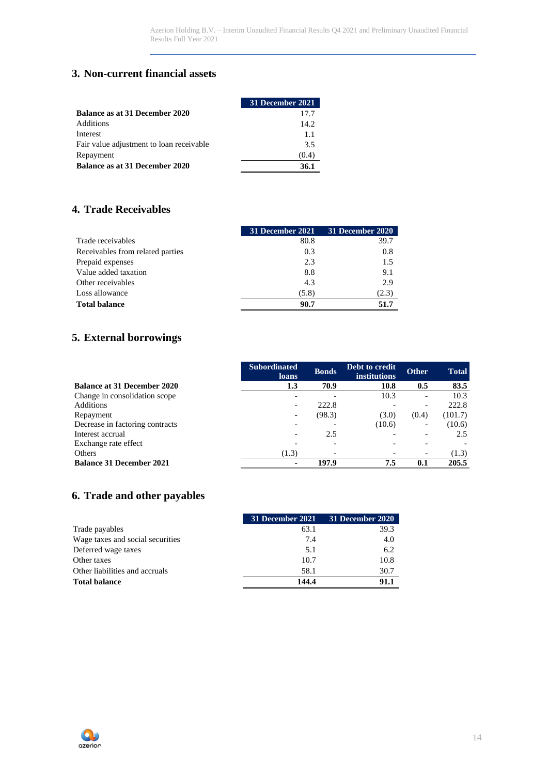## **3. Non-current financial assets**

|                                          | <b>31 December 2021</b> |
|------------------------------------------|-------------------------|
| Balance as at 31 December 2020           | 17.7                    |
| Additions                                | 14.2.                   |
| Interest                                 | 1.1                     |
| Fair value adjustment to loan receivable | 3.5                     |
| Repayment                                | (0.4)                   |
| Balance as at 31 December 2020           | 36.1                    |

# **4. Trade Receivables**

|                                  | 31 December 2021 | 31 December 2020 |
|----------------------------------|------------------|------------------|
| Trade receivables                | 80.8             | 39.7             |
| Receivables from related parties | 0.3              | 0.8              |
| Prepaid expenses                 | 2.3              | 1.5              |
| Value added taxation             | 8.8              | 9.1              |
| Other receivables                | 4.3              | 2.9              |
| Loss allowance                   | (5.8)            | (2.3)            |
| <b>Total balance</b>             | 90.7             | 51.7             |

# **5. External borrowings**

|                                    | <b>Subordinated</b><br><b>loans</b> | <b>Bonds</b> | Debt to credit<br><b>institutions</b> | <b>Other</b>             | <b>Total</b> |
|------------------------------------|-------------------------------------|--------------|---------------------------------------|--------------------------|--------------|
| <b>Balance at 31 December 2020</b> | 1.3                                 | 70.9         | 10.8                                  | 0.5                      | 83.5         |
| Change in consolidation scope      |                                     |              | 10.3                                  | $\overline{\phantom{a}}$ | 10.3         |
| Additions                          |                                     | 222.8        |                                       | $\overline{\phantom{a}}$ | 222.8        |
| Repayment                          |                                     | (98.3)       | (3.0)                                 | (0.4)                    | (101.7)      |
| Decrease in factoring contracts    |                                     |              | (10.6)                                |                          | (10.6)       |
| Interest accrual                   |                                     | 2.5          |                                       |                          | 2.5          |
| Exchange rate effect               |                                     |              |                                       |                          |              |
| Others                             | (1.3)                               |              |                                       | $\overline{\phantom{a}}$ | (1.3)        |
| <b>Balance 31 December 2021</b>    |                                     | 197.9        | 7.5                                   | 0.1                      | 205.5        |

# **6. Trade and other payables**

|                                  | 31 December 2021 | 31 December 2020 |
|----------------------------------|------------------|------------------|
| Trade payables                   | 63.1             | 39.3             |
| Wage taxes and social securities | 7.4              | 4.0              |
| Deferred wage taxes              | 5.1              | 6.2              |
| Other taxes                      | 10.7             | 10.8             |
| Other liabilities and accruals   | 58.1             | 30.7             |
| <b>Total balance</b>             | 144.4            | 91.1             |

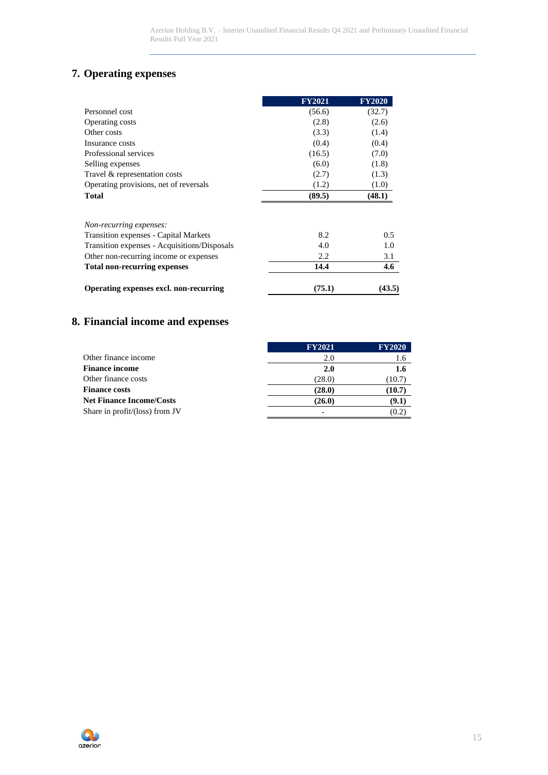# **7. Operating expenses**

|                                              | <b>FY2021</b> | <b>FY2020</b> |
|----------------------------------------------|---------------|---------------|
| Personnel cost                               | (56.6)        | (32.7)        |
| Operating costs                              | (2.8)         | (2.6)         |
| Other costs                                  | (3.3)         | (1.4)         |
| Insurance costs                              | (0.4)         | (0.4)         |
| Professional services                        | (16.5)        | (7.0)         |
| Selling expenses                             | (6.0)         | (1.8)         |
| Travel & representation costs                | (2.7)         | (1.3)         |
| Operating provisions, net of reversals       | (1.2)         | (1.0)         |
| <b>Total</b>                                 | (89.5)        | (48.1)        |
| Non-recurring expenses:                      |               |               |
| Transition expenses - Capital Markets        | 8.2           | 0.5           |
| Transition expenses - Acquisitions/Disposals | 4.0           | 1.0           |
| Other non-recurring income or expenses       | 2.2           | 3.1           |
| <b>Total non-recurring expenses</b>          | 14.4          | 4.6           |
| Operating expenses excl. non-recurring       | (75.1)        | (43.5)        |

# **8. Financial income and expenses**

|                                   | <b>FY2021</b> | <b>FY2020</b> |
|-----------------------------------|---------------|---------------|
| Other finance income              | 2.0           | 1.6           |
| <b>Finance income</b>             | 2.0           | 1.6           |
| Other finance costs               | (28.0)        | (10.7)        |
| <b>Finance costs</b>              | (28.0)        | (10.7)        |
| <b>Net Finance Income/Costs</b>   | (26.0)        | (9.1)         |
| Share in $profit/$ (loss) from JV |               | (0.2)         |

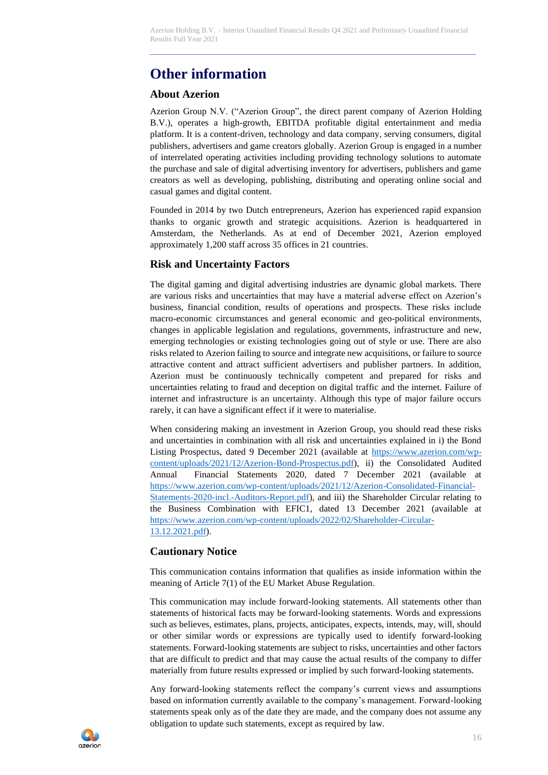# **Other information**

### **About Azerion**

Azerion Group N.V. ("Azerion Group", the direct parent company of Azerion Holding B.V.), operates a high-growth, EBITDA profitable digital entertainment and media platform. It is a content-driven, technology and data company, serving consumers, digital publishers, advertisers and game creators globally. Azerion Group is engaged in a number of interrelated operating activities including providing technology solutions to automate the purchase and sale of digital advertising inventory for advertisers, publishers and game creators as well as developing, publishing, distributing and operating online social and casual games and digital content.

Founded in 2014 by two Dutch entrepreneurs, Azerion has experienced rapid expansion thanks to organic growth and strategic acquisitions. Azerion is headquartered in Amsterdam, the Netherlands. As at end of December 2021, Azerion employed approximately 1,200 staff across 35 offices in 21 countries.

### **Risk and Uncertainty Factors**

The digital gaming and digital advertising industries are dynamic global markets. There are various risks and uncertainties that may have a material adverse effect on Azerion's business, financial condition, results of operations and prospects. These risks include macro-economic circumstances and general economic and geo-political environments, changes in applicable legislation and regulations, governments, infrastructure and new, emerging technologies or existing technologies going out of style or use. There are also risks related to Azerion failing to source and integrate new acquisitions, or failure to source attractive content and attract sufficient advertisers and publisher partners. In addition, Azerion must be continuously technically competent and prepared for risks and uncertainties relating to fraud and deception on digital traffic and the internet. Failure of internet and infrastructure is an uncertainty. Although this type of major failure occurs rarely, it can have a significant effect if it were to materialise.

When considering making an investment in Azerion Group, you should read these risks and uncertainties in combination with all risk and uncertainties explained in i) the Bond Listing Prospectus, dated 9 December 2021 (available at [https://www.azerion.com/wp](https://www.azerion.com/wp-content/uploads/2021/12/Azerion-Bond-Prospectus.pdf)[content/uploads/2021/12/Azerion-Bond-Prospectus.pdf\)](https://www.azerion.com/wp-content/uploads/2021/12/Azerion-Bond-Prospectus.pdf), ii) the Consolidated Audited Annual Financial Statements 2020, dated 7 December 2021 (available at [https://www.azerion.com/wp-content/uploads/2021/12/Azerion-Consolidated-Financial-](https://www.azerion.com/wp-content/uploads/2021/12/Azerion-Consolidated-Financial-Statements-2020-incl.-Auditors-Report.pdf)[Statements-2020-incl.-Auditors-Report.pdf\)](https://www.azerion.com/wp-content/uploads/2021/12/Azerion-Consolidated-Financial-Statements-2020-incl.-Auditors-Report.pdf), and iii) the Shareholder Circular relating to the Business Combination with EFIC1, dated 13 December 2021 (available at [https://www.azerion.com/wp-content/uploads/2022/02/Shareholder-Circular-](https://www.azerion.com/wp-content/uploads/2022/02/Shareholder-Circular-13.12.2021.pdf)[13.12.2021.pdf\)](https://www.azerion.com/wp-content/uploads/2022/02/Shareholder-Circular-13.12.2021.pdf).

#### **Cautionary Notice**

This communication contains information that qualifies as inside information within the meaning of Article 7(1) of the EU Market Abuse Regulation.

This communication may include forward-looking statements. All statements other than statements of historical facts may be forward-looking statements. Words and expressions such as believes, estimates, plans, projects, anticipates, expects, intends, may, will, should or other similar words or expressions are typically used to identify forward-looking statements. Forward-looking statements are subject to risks, uncertainties and other factors that are difficult to predict and that may cause the actual results of the company to differ materially from future results expressed or implied by such forward-looking statements.

Any forward-looking statements reflect the company's current views and assumptions based on information currently available to the company's management. Forward-looking statements speak only as of the date they are made, and the company does not assume any obligation to update such statements, except as required by law.

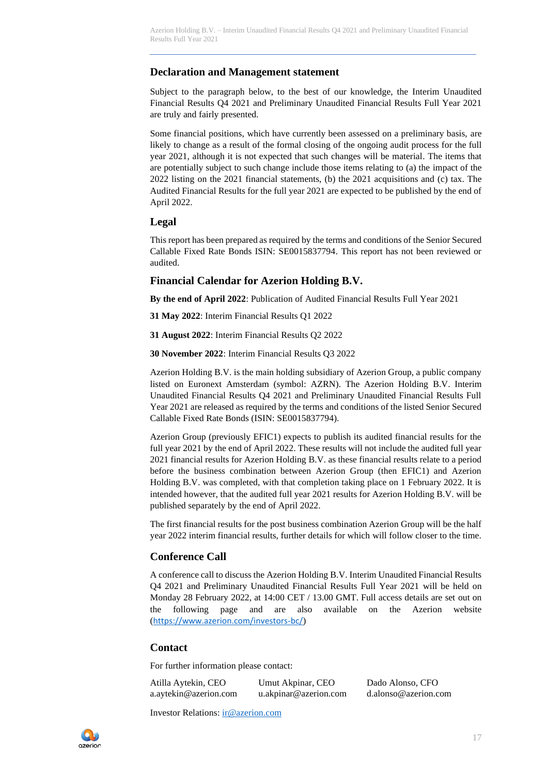### **Declaration and Management statement**

Subject to the paragraph below, to the best of our knowledge, the Interim Unaudited Financial Results Q4 2021 and Preliminary Unaudited Financial Results Full Year 2021 are truly and fairly presented.

Some financial positions, which have currently been assessed on a preliminary basis, are likely to change as a result of the formal closing of the ongoing audit process for the full year 2021, although it is not expected that such changes will be material. The items that are potentially subject to such change include those items relating to (a) the impact of the 2022 listing on the 2021 financial statements, (b) the 2021 acquisitions and (c) tax. The Audited Financial Results for the full year 2021 are expected to be published by the end of April 2022.

#### **Legal**

This report has been prepared as required by the terms and conditions of the Senior Secured Callable Fixed Rate Bonds ISIN: SE0015837794. This report has not been reviewed or audited.

#### **Financial Calendar for Azerion Holding B.V.**

**By the end of April 2022**: Publication of Audited Financial Results Full Year 2021

**31 May 2022**: Interim Financial Results Q1 2022

**31 August 2022**: Interim Financial Results Q2 2022

**30 November 2022**: Interim Financial Results Q3 2022

Azerion Holding B.V. is the main holding subsidiary of Azerion Group, a public company listed on Euronext Amsterdam (symbol: AZRN). The Azerion Holding B.V. Interim Unaudited Financial Results Q4 2021 and Preliminary Unaudited Financial Results Full Year 2021 are released as required by the terms and conditions of the listed Senior Secured Callable Fixed Rate Bonds (ISIN: SE0015837794).

Azerion Group (previously EFIC1) expects to publish its audited financial results for the full year 2021 by the end of April 2022. These results will not include the audited full year 2021 financial results for Azerion Holding B.V. as these financial results relate to a period before the business combination between Azerion Group (then EFIC1) and Azerion Holding B.V. was completed, with that completion taking place on 1 February 2022. It is intended however, that the audited full year 2021 results for Azerion Holding B.V. will be published separately by the end of April 2022.

The first financial results for the post business combination Azerion Group will be the half year 2022 interim financial results, further details for which will follow closer to the time.

#### **Conference Call**

A conference call to discuss the Azerion Holding B.V. Interim Unaudited Financial Results Q4 2021 and Preliminary Unaudited Financial Results Full Year 2021 will be held on Monday 28 February 2022, at 14:00 CET / 13.00 GMT. Full access details are set out on the following page and are also available on the Azerion website (<https://www.azerion.com/investors-bc/>)

#### **Contact**

For further information please contact:

| Atilla Aytekin, CEO   | Umut Akpinar, CEO     | Dado Alonso, CFO     |
|-----------------------|-----------------------|----------------------|
| a.aytekin@azerion.com | u.akpinar@azerion.com | d.alonso@azerion.com |

Investor Relations: [ir@azerion.com](mailto:ir@azerion.com)

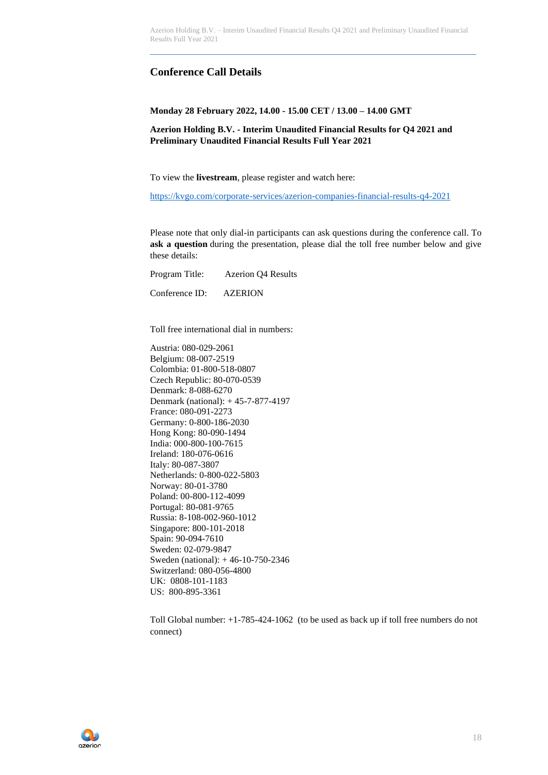### **Conference Call Details**

**Monday 28 February 2022, 14.00 - 15.00 CET / 13.00 – 14.00 GMT**

**Azerion Holding B.V. - Interim Unaudited Financial Results for Q4 2021 and Preliminary Unaudited Financial Results Full Year 2021**

To view the **livestream**, please register and watch here:

<https://kvgo.com/corporate-services/azerion-companies-financial-results-q4-2021>

Please note that only dial-in participants can ask questions during the conference call. To **ask a question** during the presentation, please dial the toll free number below and give these details:

Program Title: Azerion Q4 Results Conference ID: AZERION

Toll free international dial in numbers:

Austria: 080-029-2061 Belgium: 08-007-2519 Colombia: 01-800-518-0807 Czech Republic: 80-070-0539 Denmark: 8-088-6270 Denmark (national): + 45-7-877-4197 France: 080-091-2273 Germany: 0-800-186-2030 Hong Kong: 80-090-1494 India: 000-800-100-7615 Ireland: 180-076-0616 Italy: 80-087-3807 Netherlands: 0-800-022-5803 Norway: 80-01-3780 Poland: 00-800-112-4099 Portugal: 80-081-9765 Russia: 8-108-002-960-1012 Singapore: 800-101-2018 Spain: 90-094-7610 Sweden: 02-079-9847 Sweden (national): + 46-10-750-2346 Switzerland: 080-056-4800 UK: 0808-101-1183 US: 800-895-3361

Toll Global number: +1-785-424-1062 (to be used as back up if toll free numbers do not connect)

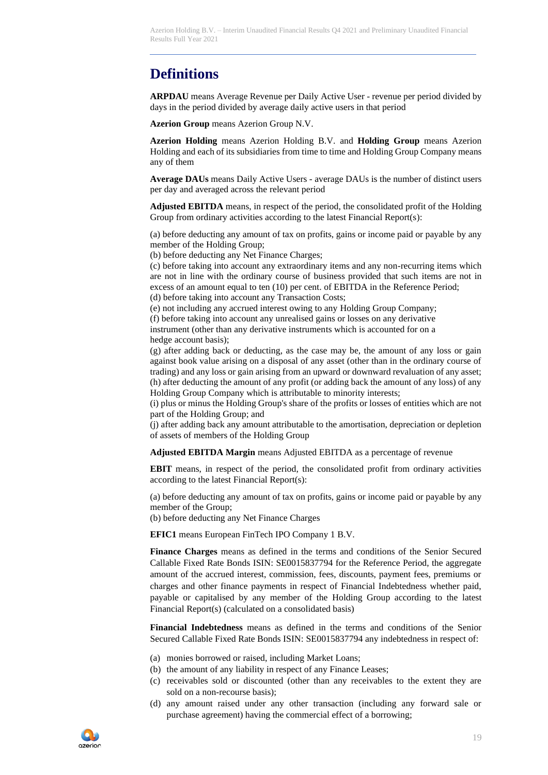# **Definitions**

**ARPDAU** means Average Revenue per Daily Active User - revenue per period divided by days in the period divided by average daily active users in that period

**Azerion Group** means Azerion Group N.V.

**Azerion Holding** means Azerion Holding B.V. and **Holding Group** means Azerion Holding and each of its subsidiaries from time to time and Holding Group Company means any of them

**Average DAUs** means Daily Active Users - average DAUs is the number of distinct users per day and averaged across the relevant period

**Adjusted EBITDA** means, in respect of the period, the consolidated profit of the Holding Group from ordinary activities according to the latest Financial Report(s):

(a) before deducting any amount of tax on profits, gains or income paid or payable by any member of the Holding Group;

(b) before deducting any Net Finance Charges;

(c) before taking into account any extraordinary items and any non-recurring items which are not in line with the ordinary course of business provided that such items are not in excess of an amount equal to ten (10) per cent. of EBITDA in the Reference Period;

(d) before taking into account any Transaction Costs;

(e) not including any accrued interest owing to any Holding Group Company; (f) before taking into account any unrealised gains or losses on any derivative instrument (other than any derivative instruments which is accounted for on a hedge account basis);

(g) after adding back or deducting, as the case may be, the amount of any loss or gain against book value arising on a disposal of any asset (other than in the ordinary course of trading) and any loss or gain arising from an upward or downward revaluation of any asset; (h) after deducting the amount of any profit (or adding back the amount of any loss) of any Holding Group Company which is attributable to minority interests;

(i) plus or minus the Holding Group's share of the profits or losses of entities which are not part of the Holding Group; and

(j) after adding back any amount attributable to the amortisation, depreciation or depletion of assets of members of the Holding Group

**Adjusted EBITDA Margin** means Adjusted EBITDA as a percentage of revenue

**EBIT** means, in respect of the period, the consolidated profit from ordinary activities according to the latest Financial Report(s):

(a) before deducting any amount of tax on profits, gains or income paid or payable by any member of the Group;

(b) before deducting any Net Finance Charges

**EFIC1** means European FinTech IPO Company 1 B.V.

**Finance Charges** means as defined in the terms and conditions of the Senior Secured Callable Fixed Rate Bonds ISIN: SE0015837794 for the Reference Period, the aggregate amount of the accrued interest, commission, fees, discounts, payment fees, premiums or charges and other finance payments in respect of Financial Indebtedness whether paid, payable or capitalised by any member of the Holding Group according to the latest Financial Report(s) (calculated on a consolidated basis)

**Financial Indebtedness** means as defined in the terms and conditions of the Senior Secured Callable Fixed Rate Bonds ISIN: SE0015837794 any indebtedness in respect of:

- (a) monies borrowed or raised, including Market Loans;
- (b) the amount of any liability in respect of any Finance Leases;
- (c) receivables sold or discounted (other than any receivables to the extent they are sold on a non-recourse basis);
- (d) any amount raised under any other transaction (including any forward sale or purchase agreement) having the commercial effect of a borrowing;